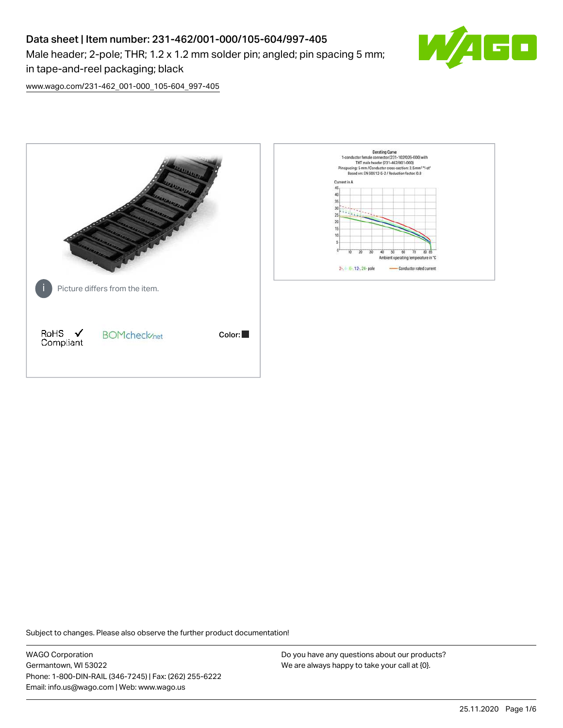# Data sheet | Item number: 231-462/001-000/105-604/997-405 Male header; 2-pole; THR; 1.2 x 1.2 mm solder pin; angled; pin spacing 5 mm; in tape-and-reel packaging; black



[www.wago.com/231-462\\_001-000\\_105-604\\_997-405](http://www.wago.com/231-462_001-000_105-604_997-405)



Subject to changes. Please also observe the further product documentation!

WAGO Corporation Germantown, WI 53022 Phone: 1-800-DIN-RAIL (346-7245) | Fax: (262) 255-6222 Email: info.us@wago.com | Web: www.wago.us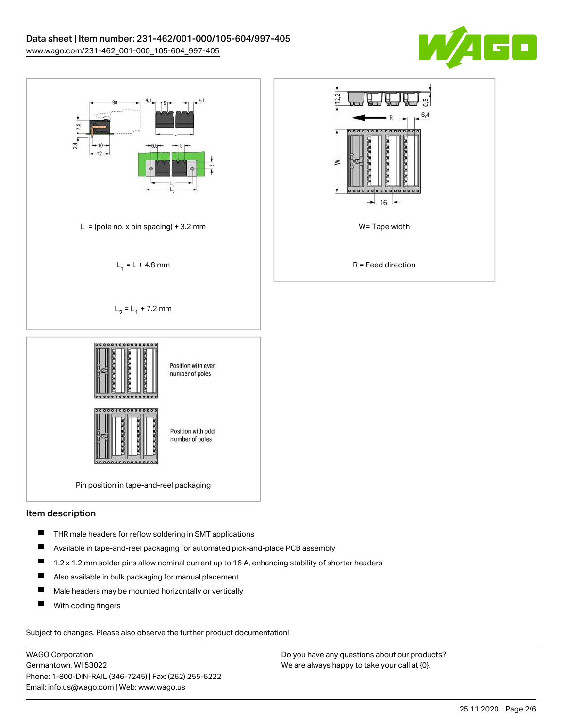



#### Item description

- $\blacksquare$ THR male headers for reflow soldering in SMT applications
- П Available in tape-and-reel packaging for automated pick-and-place PCB assembly
- $\blacksquare$ 1.2 x 1.2 mm solder pins allow nominal current up to 16 A, enhancing stability of shorter headers
- $\blacksquare$ Also available in bulk packaging for manual placement
- $\blacksquare$ Male headers may be mounted horizontally or vertically
- П With coding fingers

Subject to changes. Please also observe the further product documentation!

WAGO Corporation Germantown, WI 53022 Phone: 1-800-DIN-RAIL (346-7245) | Fax: (262) 255-6222 Email: info.us@wago.com | Web: www.wago.us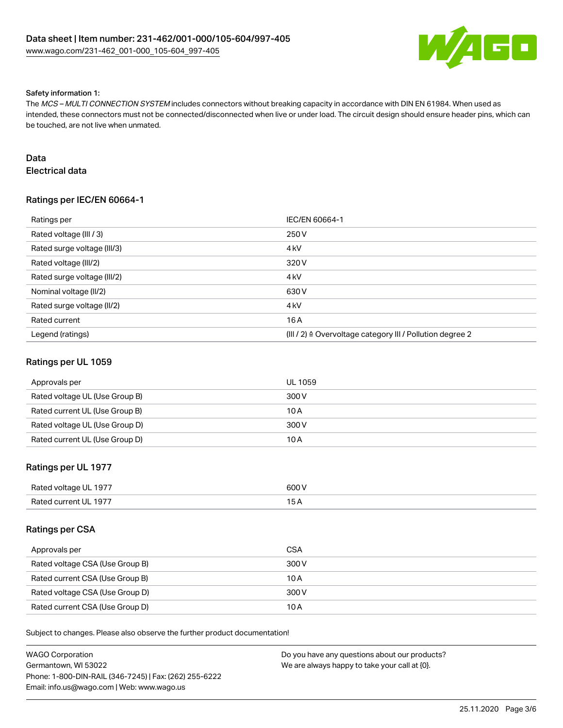

#### Safety information 1:

The MCS – MULTI CONNECTION SYSTEM includes connectors without breaking capacity in accordance with DIN EN 61984. When used as intended, these connectors must not be connected/disconnected when live or under load. The circuit design should ensure header pins, which can be touched, are not live when unmated.

### Data

Electrical data

### Ratings per IEC/EN 60664-1

| Ratings per                 | IEC/EN 60664-1                                                       |
|-----------------------------|----------------------------------------------------------------------|
| Rated voltage (III / 3)     | 250 V                                                                |
| Rated surge voltage (III/3) | 4 <sub>k</sub> V                                                     |
| Rated voltage (III/2)       | 320 V                                                                |
| Rated surge voltage (III/2) | 4 <sub>k</sub> V                                                     |
| Nominal voltage (II/2)      | 630 V                                                                |
| Rated surge voltage (II/2)  | 4 <sub>kV</sub>                                                      |
| Rated current               | 16A                                                                  |
| Legend (ratings)            | (III / 2) $\triangleq$ Overvoltage category III / Pollution degree 2 |

#### Ratings per UL 1059

| Approvals per                  | <b>UL 1059</b> |
|--------------------------------|----------------|
| Rated voltage UL (Use Group B) | 300 V          |
| Rated current UL (Use Group B) | 10 A           |
| Rated voltage UL (Use Group D) | 300 V          |
| Rated current UL (Use Group D) | 10 A           |

### Ratings per UL 1977

| Rated voltage UL 1977 | 600V |
|-----------------------|------|
| Rated current UL 1977 |      |

#### Ratings per CSA

| Approvals per                   | <b>CSA</b> |
|---------------------------------|------------|
| Rated voltage CSA (Use Group B) | 300 V      |
| Rated current CSA (Use Group B) | 10 A       |
| Rated voltage CSA (Use Group D) | 300 V      |
| Rated current CSA (Use Group D) | 10 A       |

Subject to changes. Please also observe the further product documentation!

| WAGO Corporation                                       | Do you have any questions about our products? |
|--------------------------------------------------------|-----------------------------------------------|
| Germantown. WI 53022                                   | We are always happy to take your call at {0}. |
| Phone: 1-800-DIN-RAIL (346-7245)   Fax: (262) 255-6222 |                                               |
| Email: info.us@wago.com   Web: www.wago.us             |                                               |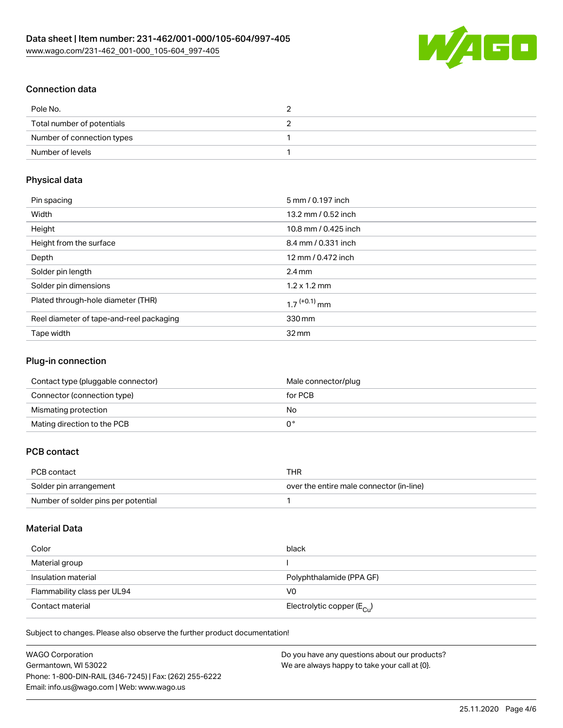

# Connection data

| Pole No.                   |  |
|----------------------------|--|
| Total number of potentials |  |
| Number of connection types |  |
| Number of levels           |  |

### Physical data

| Pin spacing                              | 5 mm / 0.197 inch          |
|------------------------------------------|----------------------------|
| Width                                    | 13.2 mm / 0.52 inch        |
| Height                                   | 10.8 mm / 0.425 inch       |
| Height from the surface                  | 8.4 mm / 0.331 inch        |
| Depth                                    | 12 mm / 0.472 inch         |
| Solder pin length                        | $2.4 \text{ mm}$           |
| Solder pin dimensions                    | $1.2 \times 1.2$ mm        |
| Plated through-hole diameter (THR)       | $1.7$ <sup>(+0.1)</sup> mm |
| Reel diameter of tape-and-reel packaging | 330 mm                     |
| Tape width                               | $32 \,\mathrm{mm}$         |

### Plug-in connection

| Contact type (pluggable connector) | Male connector/plug |
|------------------------------------|---------------------|
| Connector (connection type)        | for PCB             |
| Mismating protection               | No                  |
| Mating direction to the PCB        |                     |

# PCB contact

| PCB contact                         | THR                                      |
|-------------------------------------|------------------------------------------|
| Solder pin arrangement              | over the entire male connector (in-line) |
| Number of solder pins per potential |                                          |

# Material Data

| Color                       | black                                   |
|-----------------------------|-----------------------------------------|
| Material group              |                                         |
| Insulation material         | Polyphthalamide (PPA GF)                |
| Flammability class per UL94 | V0                                      |
| Contact material            | Electrolytic copper ( $E_{\text{Cu}}$ ) |

Subject to changes. Please also observe the further product documentation!

| <b>WAGO Corporation</b>                                | Do you have any questions about our products? |
|--------------------------------------------------------|-----------------------------------------------|
| Germantown, WI 53022                                   | We are always happy to take your call at {0}. |
| Phone: 1-800-DIN-RAIL (346-7245)   Fax: (262) 255-6222 |                                               |
| Email: info.us@wago.com   Web: www.wago.us             |                                               |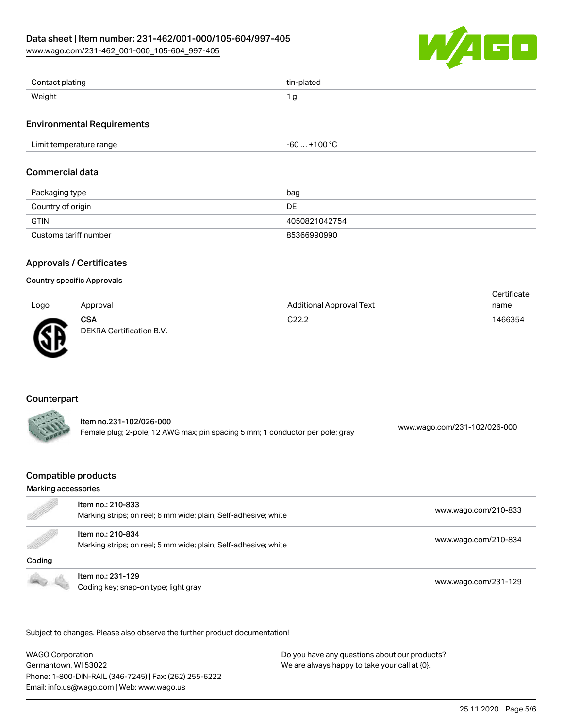[www.wago.com/231-462\\_001-000\\_105-604\\_997-405](http://www.wago.com/231-462_001-000_105-604_997-405)



| Contact plating | tin-plated |
|-----------------|------------|
| Weight          | J          |

### Environmental Requirements

| $\cdot$ 100 °C<br>Limit temperature range<br>-61 |
|--------------------------------------------------|
|--------------------------------------------------|

### Commercial data

| Packaging type        | bag           |
|-----------------------|---------------|
| Country of origin     | DE            |
| <b>GTIN</b>           | 4050821042754 |
| Customs tariff number | 85366990990   |

### Approvals / Certificates

#### Country specific Approvals

| Logo | Approval                               | <b>Additional Approval Text</b> | Certificate<br>name |
|------|----------------------------------------|---------------------------------|---------------------|
| Ж    | <b>CSA</b><br>DEKRA Certification B.V. | C <sub>22.2</sub>               | 1466354             |

### Counterpart

| ltem no.231-102/026-000                                                       | www.wago.com/231-102/026-000 |
|-------------------------------------------------------------------------------|------------------------------|
| Female plug; 2-pole; 12 AWG max; pin spacing 5 mm; 1 conductor per pole; gray |                              |

## Compatible products

#### Marking accessories

| e de la comparación de la comparación de la comparación de la comparación de la comparación de la comparación de<br>La comparación de la comparación de la comparación de la comparación de la comparación de la comparación de l | Item no.: 210-833<br>Marking strips; on reel; 6 mm wide; plain; Self-adhesive; white | www.wago.com/210-833 |
|-----------------------------------------------------------------------------------------------------------------------------------------------------------------------------------------------------------------------------------|--------------------------------------------------------------------------------------|----------------------|
| <b>Sold Street Section</b>                                                                                                                                                                                                        | Item no.: 210-834<br>Marking strips; on reel; 5 mm wide; plain; Self-adhesive; white | www.wago.com/210-834 |
| Coding                                                                                                                                                                                                                            |                                                                                      |                      |
|                                                                                                                                                                                                                                   | Item no.: 231-129<br>Coding key; snap-on type; light gray                            | www.wago.com/231-129 |

Subject to changes. Please also observe the further product documentation!

WAGO Corporation Germantown, WI 53022 Phone: 1-800-DIN-RAIL (346-7245) | Fax: (262) 255-6222 Email: info.us@wago.com | Web: www.wago.us